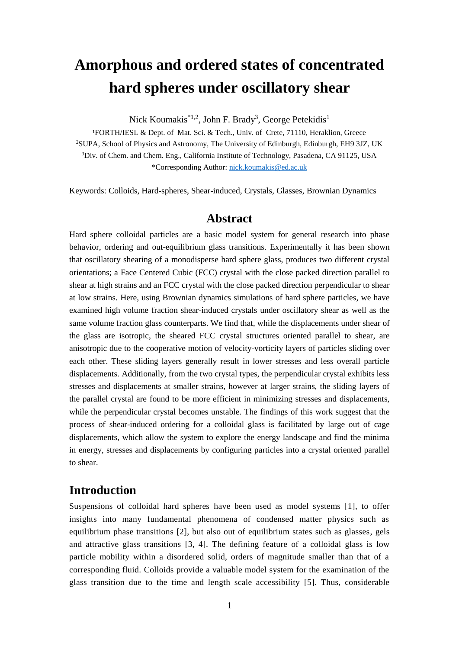# **Amorphous and ordered states of concentrated hard spheres under oscillatory shear**

Nick Koumakis $^{*1,2}$ , John F. Brady<sup>3</sup>, George Petekidis<sup>1</sup>

<sup>1</sup>FORTH/IESL & Dept. of Mat. Sci. & Tech., Univ. of Crete, 71110, Heraklion, Greece <sup>2</sup>SUPA, School of Physics and Astronomy, The University of Edinburgh, Edinburgh, EH9 3JZ, UK <sup>3</sup>Div. of Chem. and Chem. Eng., California Institute of Technology, Pasadena, CA 91125, USA \*Corresponding Author: [nick.koumakis@ed.ac.uk](mailto:nick.koumakis@ed.ac.uk)

Keywords: Colloids, Hard-spheres, Shear-induced, Crystals, Glasses, Brownian Dynamics

### **Abstract**

Hard sphere colloidal particles are a basic model system for general research into phase behavior, ordering and out-equilibrium glass transitions. Experimentally it has been shown that oscillatory shearing of a monodisperse hard sphere glass, produces two different crystal orientations; a Face Centered Cubic (FCC) crystal with the close packed direction parallel to shear at high strains and an FCC crystal with the close packed direction perpendicular to shear at low strains. Here, using Brownian dynamics simulations of hard sphere particles, we have examined high volume fraction shear-induced crystals under oscillatory shear as well as the same volume fraction glass counterparts. We find that, while the displacements under shear of the glass are isotropic, the sheared FCC crystal structures oriented parallel to shear, are anisotropic due to the cooperative motion of velocity-vorticity layers of particles sliding over each other. These sliding layers generally result in lower stresses and less overall particle displacements. Additionally, from the two crystal types, the perpendicular crystal exhibits less stresses and displacements at smaller strains, however at larger strains, the sliding layers of the parallel crystal are found to be more efficient in minimizing stresses and displacements, while the perpendicular crystal becomes unstable. The findings of this work suggest that the process of shear-induced ordering for a colloidal glass is facilitated by large out of cage displacements, which allow the system to explore the energy landscape and find the minima in energy, stresses and displacements by configuring particles into a crystal oriented parallel to shear.

### **Introduction**

Suspensions of colloidal hard spheres have been used as model systems [1], to offer insights into many fundamental phenomena of condensed matter physics such as equilibrium phase transitions [2], but also out of equilibrium states such as glasses, gels and attractive glass transitions [3, 4]. The defining feature of a colloidal glass is low particle mobility within a disordered solid, orders of magnitude smaller than that of a corresponding fluid. Colloids provide a valuable model system for the examination of the glass transition due to the time and length scale accessibility [5]. Thus, considerable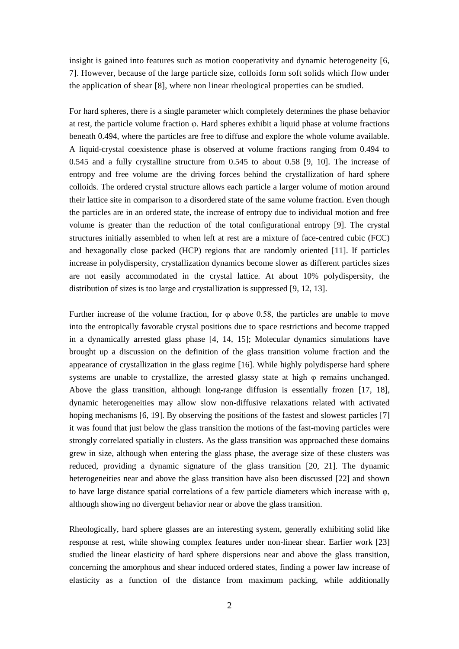insight is gained into features such as motion cooperativity and dynamic heterogeneity [6, 7]. However, because of the large particle size, colloids form soft solids which flow under the application of shear [8], where non linear rheological properties can be studied.

For hard spheres, there is a single parameter which completely determines the phase behavior at rest, the particle volume fraction φ. Hard spheres exhibit a liquid phase at volume fractions beneath 0.494, where the particles are free to diffuse and explore the whole volume available. A liquid-crystal coexistence phase is observed at volume fractions ranging from 0.494 to 0.545 and a fully crystalline structure from 0.545 to about 0.58 [9, 10]. The increase of entropy and free volume are the driving forces behind the crystallization of hard sphere colloids. The ordered crystal structure allows each particle a larger volume of motion around their lattice site in comparison to a disordered state of the same volume fraction. Even though the particles are in an ordered state, the increase of entropy due to individual motion and free volume is greater than the reduction of the total configurational entropy [9]. The crystal structures initially assembled to when left at rest are a mixture of face-centred cubic (FCC) and hexagonally close packed (HCP) regions that are randomly oriented [11]. If particles increase in polydispersity, crystallization dynamics become slower as different particles sizes are not easily accommodated in the crystal lattice. At about 10% polydispersity, the distribution of sizes is too large and crystallization is suppressed [9, 12, 13].

Further increase of the volume fraction, for  $\varphi$  above 0.58, the particles are unable to move into the entropically favorable crystal positions due to space restrictions and become trapped in a dynamically arrested glass phase [4, 14, 15]; Molecular dynamics simulations have brought up a discussion on the definition of the glass transition volume fraction and the appearance of crystallization in the glass regime [16]. While highly polydisperse hard sphere systems are unable to crystallize, the arrested glassy state at high  $\varphi$  remains unchanged. Above the glass transition, although long-range diffusion is essentially frozen [17, 18], dynamic heterogeneities may allow slow non-diffusive relaxations related with activated hoping mechanisms [6, 19]. By observing the positions of the fastest and slowest particles [7] it was found that just below the glass transition the motions of the fast-moving particles were strongly correlated spatially in clusters. As the glass transition was approached these domains grew in size, although when entering the glass phase, the average size of these clusters was reduced, providing a dynamic signature of the glass transition [20, 21]. The dynamic heterogeneities near and above the glass transition have also been discussed [22] and shown to have large distance spatial correlations of a few particle diameters which increase with  $\varphi$ , although showing no divergent behavior near or above the glass transition.

Rheologically, hard sphere glasses are an interesting system, generally exhibiting solid like response at rest, while showing complex features under non-linear shear. Earlier work [23] studied the linear elasticity of hard sphere dispersions near and above the glass transition, concerning the amorphous and shear induced ordered states, finding a power law increase of elasticity as a function of the distance from maximum packing, while additionally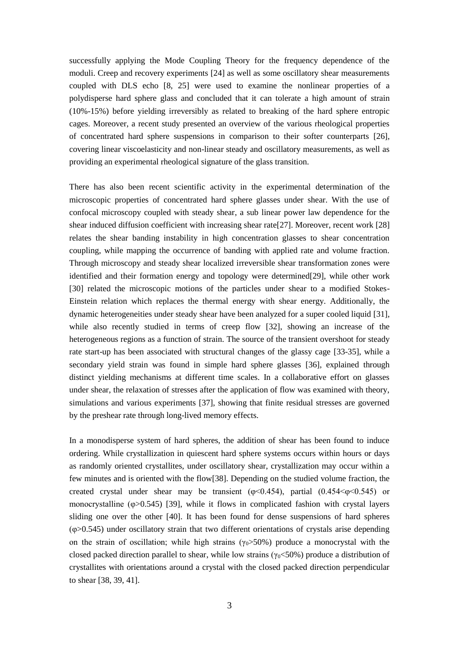successfully applying the Mode Coupling Theory for the frequency dependence of the moduli. Creep and recovery experiments [24] as well as some oscillatory shear measurements coupled with DLS echo [8, 25] were used to examine the nonlinear properties of a polydisperse hard sphere glass and concluded that it can tolerate a high amount of strain (10%-15%) before yielding irreversibly as related to breaking of the hard sphere entropic cages. Moreover, a recent study presented an overview of the various rheological properties of concentrated hard sphere suspensions in comparison to their softer counterparts [26], covering linear viscoelasticity and non-linear steady and oscillatory measurements, as well as providing an experimental rheological signature of the glass transition.

There has also been recent scientific activity in the experimental determination of the microscopic properties of concentrated hard sphere glasses under shear. With the use of confocal microscopy coupled with steady shear, a sub linear power law dependence for the shear induced diffusion coefficient with increasing shear rate[27]. Moreover, recent work [28] relates the shear banding instability in high concentration glasses to shear concentration coupling, while mapping the occurrence of banding with applied rate and volume fraction. Through microscopy and steady shear localized irreversible shear transformation zones were identified and their formation energy and topology were determined[29], while other work [30] related the microscopic motions of the particles under shear to a modified Stokes-Einstein relation which replaces the thermal energy with shear energy. Additionally, the dynamic heterogeneities under steady shear have been analyzed for a super cooled liquid [31], while also recently studied in terms of creep flow [32], showing an increase of the heterogeneous regions as a function of strain. The source of the transient overshoot for steady rate start-up has been associated with structural changes of the glassy cage [33-35], while a secondary yield strain was found in simple hard sphere glasses [36], explained through distinct yielding mechanisms at different time scales. In a collaborative effort on glasses under shear, the relaxation of stresses after the application of flow was examined with theory, simulations and various experiments [37], showing that finite residual stresses are governed by the preshear rate through long-lived memory effects.

In a monodisperse system of hard spheres, the addition of shear has been found to induce ordering. While crystallization in quiescent hard sphere systems occurs within hours or days as randomly oriented crystallites, under oscillatory shear, crystallization may occur within a few minutes and is oriented with the flow[38]. Depending on the studied volume fraction, the created crystal under shear may be transient ( $\varphi$ <0.454), partial (0.454 $\leq \varphi$  <0.545) or monocrystalline (φ>0.545) [39], while it flows in complicated fashion with crystal layers sliding one over the other [40]. It has been found for dense suspensions of hard spheres (φ>0.545) under oscillatory strain that two different orientations of crystals arise depending on the strain of oscillation; while high strains ( $\gamma_0 > 50\%$ ) produce a monocrystal with the closed packed direction parallel to shear, while low strains ( $\gamma_0$ <50%) produce a distribution of crystallites with orientations around a crystal with the closed packed direction perpendicular to shear [38, 39, 41].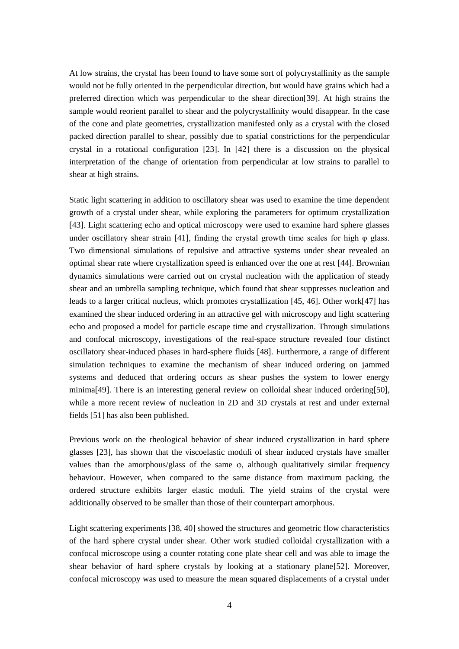At low strains, the crystal has been found to have some sort of polycrystallinity as the sample would not be fully oriented in the perpendicular direction, but would have grains which had a preferred direction which was perpendicular to the shear direction[39]. At high strains the sample would reorient parallel to shear and the polycrystallinity would disappear. In the case of the cone and plate geometries, crystallization manifested only as a crystal with the closed packed direction parallel to shear, possibly due to spatial constrictions for the perpendicular crystal in a rotational configuration [23]. In [42] there is a discussion on the physical interpretation of the change of orientation from perpendicular at low strains to parallel to shear at high strains.

Static light scattering in addition to oscillatory shear was used to examine the time dependent growth of a crystal under shear, while exploring the parameters for optimum crystallization [43]. Light scattering echo and optical microscopy were used to examine hard sphere glasses under oscillatory shear strain [41], finding the crystal growth time scales for high  $\varphi$  glass. Two dimensional simulations of repulsive and attractive systems under shear revealed an optimal shear rate where crystallization speed is enhanced over the one at rest [44]. Brownian dynamics simulations were carried out on crystal nucleation with the application of steady shear and an umbrella sampling technique, which found that shear suppresses nucleation and leads to a larger critical nucleus, which promotes crystallization [45, 46]. Other work[47] has examined the shear induced ordering in an attractive gel with microscopy and light scattering echo and proposed a model for particle escape time and crystallization. Through simulations and confocal microscopy, investigations of the real-space structure revealed four distinct oscillatory shear-induced phases in hard-sphere fluids [48]. Furthermore, a range of different simulation techniques to examine the mechanism of shear induced ordering on jammed systems and deduced that ordering occurs as shear pushes the system to lower energy minima[49]. There is an interesting general review on colloidal shear induced ordering[50], while a more recent review of nucleation in 2D and 3D crystals at rest and under external fields [51] has also been published.

Previous work on the rheological behavior of shear induced crystallization in hard sphere glasses [23], has shown that the viscoelastic moduli of shear induced crystals have smaller values than the amorphous/glass of the same  $\varphi$ , although qualitatively similar frequency behaviour. However, when compared to the same distance from maximum packing, the ordered structure exhibits larger elastic moduli. The yield strains of the crystal were additionally observed to be smaller than those of their counterpart amorphous.

Light scattering experiments [38, 40] showed the structures and geometric flow characteristics of the hard sphere crystal under shear. Other work studied colloidal crystallization with a confocal microscope using a counter rotating cone plate shear cell and was able to image the shear behavior of hard sphere crystals by looking at a stationary plane[52]. Moreover, confocal microscopy was used to measure the mean squared displacements of a crystal under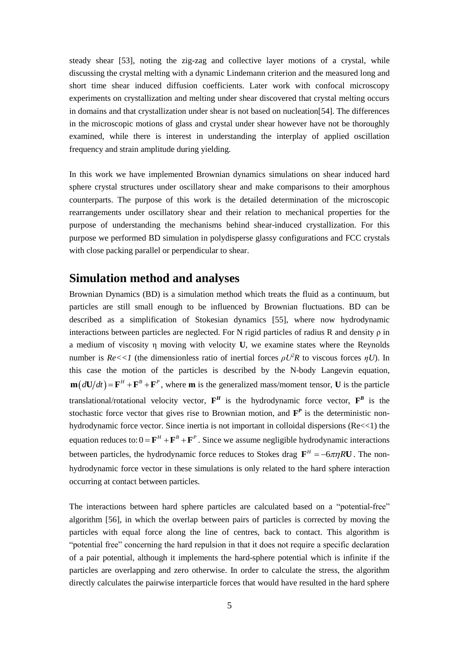steady shear [53], noting the zig-zag and collective layer motions of a crystal, while discussing the crystal melting with a dynamic Lindemann criterion and the measured long and short time shear induced diffusion coefficients. Later work with confocal microscopy experiments on crystallization and melting under shear discovered that crystal melting occurs in domains and that crystallization under shear is not based on nucleation[54]. The differences in the microscopic motions of glass and crystal under shear however have not be thoroughly examined, while there is interest in understanding the interplay of applied oscillation frequency and strain amplitude during yielding.

In this work we have implemented Brownian dynamics simulations on shear induced hard sphere crystal structures under oscillatory shear and make comparisons to their amorphous counterparts. The purpose of this work is the detailed determination of the microscopic rearrangements under oscillatory shear and their relation to mechanical properties for the purpose of understanding the mechanisms behind shear-induced crystallization. For this purpose we performed BD simulation in polydisperse glassy configurations and FCC crystals with close packing parallel or perpendicular to shear.

### **Simulation method and analyses**

Brownian Dynamics (BD) is a simulation method which treats the fluid as a continuum, but particles are still small enough to be influenced by Brownian fluctuations. BD can be described as a simplification of Stokesian dynamics [55], where now hydrodynamic interactions between particles are neglected. For N rigid particles of radius R and density  $\rho$  in a medium of viscosity η moving with velocity **U**, we examine states where the Reynolds number is  $Re \ll 1$  (the dimensionless ratio of inertial forces  $\rho U^2 R$  to viscous forces  $\eta U$ ). In this case the motion of the particles is described by the N-body Langevin equation,  $\mathbf{m}(d\mathbf{U}/dt) = \mathbf{F}^H + \mathbf{F}^B + \mathbf{F}^P$ , where **m** is the generalized mass/moment tensor, **U** is the particle translational/rotational velocity vector,  $F^H$  is the hydrodynamic force vector,  $F^B$  is the stochastic force vector that gives rise to Brownian motion, and  $\mathbf{F}^P$  is the deterministic nonhydrodynamic force vector. Since inertia is not important in colloidal dispersions (Re $\lt$ 1) the equation reduces to:  $0 = \mathbf{F}^H + \mathbf{F}^B + \mathbf{F}^P$ . Since we assume negligible hydrodynamic interactions between particles, the hydrodynamic force reduces to Stokes drag  $\mathbf{F}^H = -6\pi \eta R \mathbf{U}$ . The nonhydrodynamic force vector in these simulations is only related to the hard sphere interaction occurring at contact between particles.

The interactions between hard sphere particles are calculated based on a "potential-free" algorithm [56], in which the overlap between pairs of particles is corrected by moving the particles with equal force along the line of centres, back to contact. This algorithm is "potential free" concerning the hard repulsion in that it does not require a specific declaration of a pair potential, although it implements the hard-sphere potential which is infinite if the particles are overlapping and zero otherwise. In order to calculate the stress, the algorithm directly calculates the pairwise interparticle forces that would have resulted in the hard sphere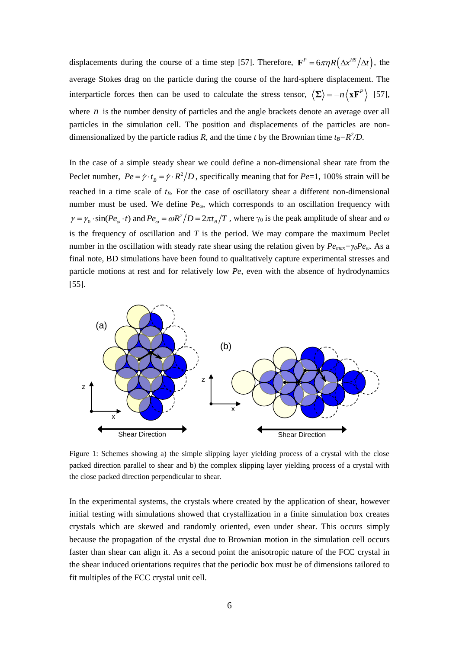displacements during the course of a time step [57]. Therefore,  $\mathbf{F}^P = 6\pi \eta R(\Delta x^{HS}/\Delta t)$ , the average Stokes drag on the particle during the course of the hard-sphere displacement. The interparticle forces then can be used to calculate the stress tensor,  $\langle \Sigma \rangle = -n \langle \mathbf{x} \mathbf{F}^P \rangle$  [57], where  $n$  is the number density of particles and the angle brackets denote an average over all particles in the simulation cell. The position and displacements of the particles are nondimensionalized by the particle radius *R*, and the time *t* by the Brownian time  $t_B = R^2/D$ .

In the case of a simple steady shear we could define a non-dimensional shear rate from the Peclet number,  $Pe = \dot{\gamma} \cdot t_B = \dot{\gamma} \cdot R^2/D$ , specifically meaning that for  $Pe=1$ , 100% strain will be reached in a time scale of *tB*. For the case of oscillatory shear a different non-dimensional number must be used. We define Pe<sub>ω</sub>, which corresponds to an oscillation frequency with  $\gamma = \gamma_0 \cdot \sin(Pe_{\omega} \cdot t)$  and  $Pe_{\omega} = \omega R^2/D = 2\pi t_B/T$ , where  $\gamma_0$  is the peak amplitude of shear and  $\omega$  $V_0 \cdot \sin(Pe_\omega \cdot t)$  and  $Pe_\omega = \omega R^2$ is the frequency of oscillation and *T* is the period. We may compare the maximum Peclet number in the oscillation with steady rate shear using the relation given by *Pemax=γ0Peω*. As a final note, BD simulations have been found to qualitatively capture experimental stresses and particle motions at rest and for relatively low *Pe*, even with the absence of hydrodynamics [55].



Figure 1: Schemes showing a) the simple slipping layer yielding process of a crystal with the close packed direction parallel to shear and b) the complex slipping layer yielding process of a crystal with the close packed direction perpendicular to shear.

In the experimental systems, the crystals where created by the application of shear, however initial testing with simulations showed that crystallization in a finite simulation box creates crystals which are skewed and randomly oriented, even under shear. This occurs simply because the propagation of the crystal due to Brownian motion in the simulation cell occurs faster than shear can align it. As a second point the anisotropic nature of the FCC crystal in the shear induced orientations requires that the periodic box must be of dimensions tailored to fit multiples of the FCC crystal unit cell.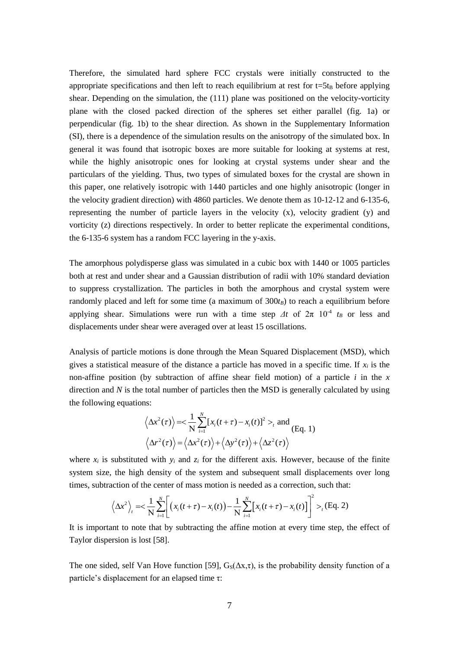Therefore, the simulated hard sphere FCC crystals were initially constructed to the appropriate specifications and then left to reach equilibrium at rest for  $t=5t_B$  before applying shear. Depending on the simulation, the (111) plane was positioned on the velocity-vorticity plane with the closed packed direction of the spheres set either parallel (fig. 1a) or perpendicular (fig. 1b) to the shear direction. As shown in the Supplementary Information (SI), there is a dependence of the simulation results on the anisotropy of the simulated box. In general it was found that isotropic boxes are more suitable for looking at systems at rest, while the highly anisotropic ones for looking at crystal systems under shear and the particulars of the yielding. Thus, two types of simulated boxes for the crystal are shown in this paper, one relatively isotropic with 1440 particles and one highly anisotropic (longer in the velocity gradient direction) with 4860 particles. We denote them as 10-12-12 and 6-135-6, representing the number of particle layers in the velocity (x), velocity gradient (y) and vorticity (z) directions respectively. In order to better replicate the experimental conditions, the 6-135-6 system has a random FCC layering in the y-axis.

The amorphous polydisperse glass was simulated in a cubic box with 1440 or 1005 particles both at rest and under shear and a Gaussian distribution of radii with 10% standard deviation to suppress crystallization. The particles in both the amorphous and crystal system were randomly placed and left for some time (a maximum of  $300t<sub>B</sub>$ ) to reach a equilibrium before applying shear. Simulations were run with a time step  $\Delta t$  of  $2\pi$  10<sup>-4</sup>  $t_B$  or less and displacements under shear were averaged over at least 15 oscillations.

Analysis of particle motions is done through the Mean Squared Displacement (MSD), which gives a statistical measure of the distance a particle has moved in a specific time. If *x<sup>i</sup>* is the non-affine position (by subtraction of affine shear field motion) of a particle *i* in the *x* direction and *N* is the total number of particles then the MSD is generally calculated by using the following equations:

$$
\langle \Delta x^2(\tau) \rangle = \langle \frac{1}{N} \sum_{i=1}^N [x_i(t+\tau) - x_i(t)]^2 >_t \text{ and } \text{(Eq. 1)}
$$

$$
\langle \Delta r^2(\tau) \rangle = \langle \Delta x^2(\tau) \rangle + \langle \Delta y^2(\tau) \rangle + \langle \Delta z^2(\tau) \rangle
$$

where  $x_i$  is substituted with  $y_i$  and  $z_i$  for the different axis. However, because of the finite system size, the high density of the system and subsequent small displacements over long<br>times, subtraction of the center of mass motion is needed as a correction, such that:<br> $\langle \Delta x^2 \rangle_t = \frac{1}{N} \sum_{i=1}^N \left[ (x_i(t+\tau) - x_i(t)) - \frac$ times, subtraction of the center of mass motion is needed as a correction, such that:

action of the center of mass motion is needed as a correction, such that  
\n
$$
\left\langle \Delta x^2 \right\rangle_t = \frac{1}{N} \sum_{i=1}^N \left[ \left( x_i(t+\tau) - x_i(t) \right) - \frac{1}{N} \sum_{i=1}^N \left[ x_i(t+\tau) - x_i(t) \right] \right]^2 >_t (Eq. 2)
$$

It is important to note that by subtracting the affine motion at every time step, the effect of Taylor dispersion is lost [58].

The one sided, self Van Hove function [59],  $G_s(\Delta x, \tau)$ , is the probability density function of a particle's displacement for an elapsed time τ: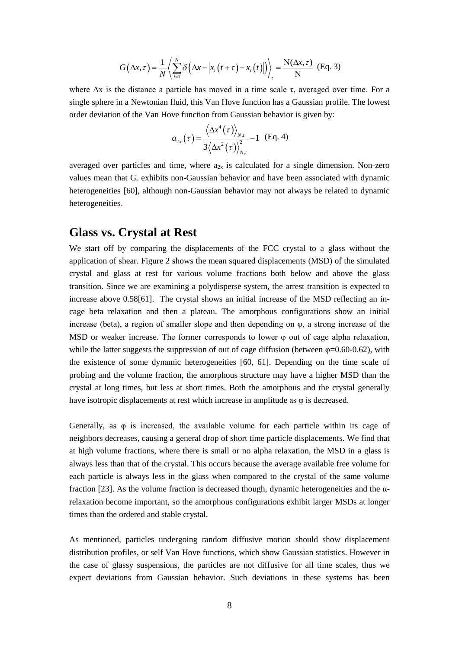$$
G(\Delta x, \tau) = \frac{1}{N} \left\langle \sum_{i=1}^{N} \delta \left( \Delta x - \left| x_i(t+\tau) - x_i(t) \right| \right) \right\rangle_t = \frac{N(\Delta x, \tau)}{N} \text{ (Eq. 3)}
$$

where  $\Delta x$  is the distance a particle has moved in a time scale  $\tau$ , averaged over time. For a single sphere in a Newtonian fluid, this Van Hove function has a Gaussian profile. The lowest order deviation of the Van Hove function from Gaussian behavior is given by:

$$
a_{2x}(\tau) = \frac{\langle \Delta x^4(\tau) \rangle_{N,t}}{3 \langle \Delta x^2(\tau) \rangle_{N,t}^2} - 1
$$
 (Eq. 4)

averaged over particles and time, where  $a_{2x}$  is calculated for a single dimension. Non-zero values mean that  $G_s$  exhibits non-Gaussian behavior and have been associated with dynamic heterogeneities [60], although non-Gaussian behavior may not always be related to dynamic heterogeneities.

# **Glass vs. Crystal at Rest**

We start off by comparing the displacements of the FCC crystal to a glass without the application of shear. Figure 2 shows the mean squared displacements (MSD) of the simulated crystal and glass at rest for various volume fractions both below and above the glass transition. Since we are examining a polydisperse system, the arrest transition is expected to increase above 0.58[61]. The crystal shows an initial increase of the MSD reflecting an incage beta relaxation and then a plateau. The amorphous configurations show an initial increase (beta), a region of smaller slope and then depending on φ, a strong increase of the MSD or weaker increase. The former corresponds to lower  $\varphi$  out of cage alpha relaxation, while the latter suggests the suppression of out of cage diffusion (between  $\varphi$ =0.60-0.62), with the existence of some dynamic heterogeneities [60, 61]. Depending on the time scale of probing and the volume fraction, the amorphous structure may have a higher MSD than the crystal at long times, but less at short times. Both the amorphous and the crystal generally have isotropic displacements at rest which increase in amplitude as  $\varphi$  is decreased.

Generally, as  $\varphi$  is increased, the available volume for each particle within its cage of neighbors decreases, causing a general drop of short time particle displacements. We find that at high volume fractions, where there is small or no alpha relaxation, the MSD in a glass is always less than that of the crystal. This occurs because the average available free volume for each particle is always less in the glass when compared to the crystal of the same volume fraction [23]. As the volume fraction is decreased though, dynamic heterogeneities and the αrelaxation become important, so the amorphous configurations exhibit larger MSDs at longer times than the ordered and stable crystal.

As mentioned, particles undergoing random diffusive motion should show displacement distribution profiles, or self Van Hove functions, which show Gaussian statistics. However in the case of glassy suspensions, the particles are not diffusive for all time scales, thus we expect deviations from Gaussian behavior. Such deviations in these systems has been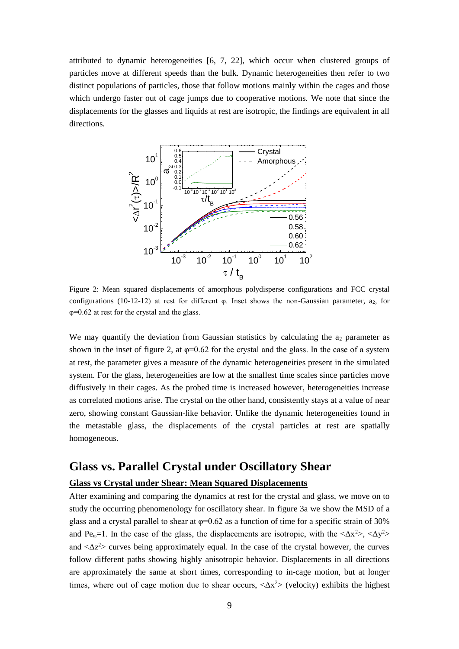attributed to dynamic heterogeneities [6, 7, 22], which occur when clustered groups of particles move at different speeds than the bulk. Dynamic heterogeneities then refer to two distinct populations of particles, those that follow motions mainly within the cages and those which undergo faster out of cage jumps due to cooperative motions. We note that since the displacements for the glasses and liquids at rest are isotropic, the findings are equivalent in all directions.



Figure 2: Mean squared displacements of amorphous polydisperse configurations and FCC crystal configurations (10-12-12) at rest for different  $\varphi$ . Inset shows the non-Gaussian parameter,  $a_2$ , for φ=0.62 at rest for the crystal and the glass.

We may quantify the deviation from Gaussian statistics by calculating the  $a_2$  parameter as shown in the inset of figure 2, at  $\varphi$ =0.62 for the crystal and the glass. In the case of a system at rest, the parameter gives a measure of the dynamic heterogeneities present in the simulated system. For the glass, heterogeneities are low at the smallest time scales since particles move diffusively in their cages. As the probed time is increased however, heterogeneities increase as correlated motions arise. The crystal on the other hand, consistently stays at a value of near zero, showing constant Gaussian-like behavior. Unlike the dynamic heterogeneities found in the metastable glass, the displacements of the crystal particles at rest are spatially homogeneous.

# **Glass vs. Parallel Crystal under Oscillatory Shear**

#### **Glass vs Crystal under Shear: Mean Squared Displacements**

After examining and comparing the dynamics at rest for the crystal and glass, we move on to study the occurring phenomenology for oscillatory shear. In figure 3a we show the MSD of a glass and a crystal parallel to shear at  $\varphi$ =0.62 as a function of time for a specific strain of 30% and Pe<sub>ω</sub>=1. In the case of the glass, the displacements are isotropic, with the  $\langle \Delta x^2 \rangle$ ,  $\langle \Delta y^2 \rangle$ and  $\langle \Delta z^2 \rangle$  curves being approximately equal. In the case of the crystal however, the curves follow different paths showing highly anisotropic behavior. Displacements in all directions are approximately the same at short times, corresponding to in-cage motion, but at longer times, where out of cage motion due to shear occurs,  $\langle \Delta x^2 \rangle$  (velocity) exhibits the highest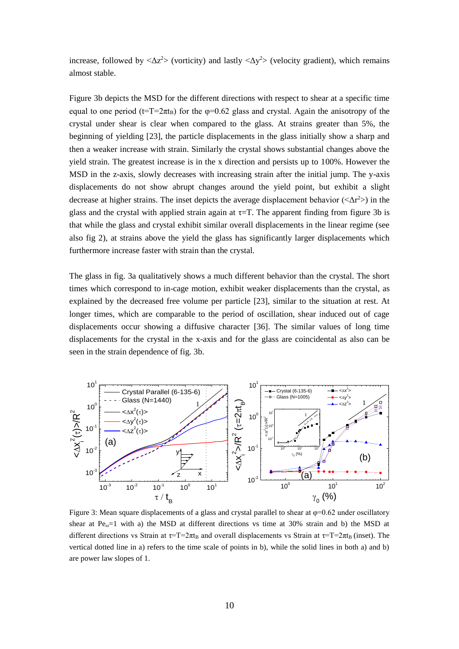increase, followed by  $\langle \Delta z^2 \rangle$  (vorticity) and lastly  $\langle \Delta y^2 \rangle$  (velocity gradient), which remains almost stable.

Figure 3b depicts the MSD for the different directions with respect to shear at a specific time equal to one period ( $t=T=2\pi t_B$ ) for the  $\varphi=0.62$  glass and crystal. Again the anisotropy of the crystal under shear is clear when compared to the glass. At strains greater than 5%, the beginning of yielding [23], the particle displacements in the glass initially show a sharp and then a weaker increase with strain. Similarly the crystal shows substantial changes above the yield strain. The greatest increase is in the x direction and persists up to 100%. However the MSD in the z-axis, slowly decreases with increasing strain after the initial jump. The y-axis displacements do not show abrupt changes around the yield point, but exhibit a slight decrease at higher strains. The inset depicts the average displacement behavior ( $\langle \Delta r^2 \rangle$ ) in the glass and the crystal with applied strain again at  $\tau$ =T. The apparent finding from figure 3b is that while the glass and crystal exhibit similar overall displacements in the linear regime (see also fig 2), at strains above the yield the glass has significantly larger displacements which furthermore increase faster with strain than the crystal.

The glass in fig. 3a qualitatively shows a much different behavior than the crystal. The short times which correspond to in-cage motion, exhibit weaker displacements than the crystal, as explained by the decreased free volume per particle [23], similar to the situation at rest. At longer times, which are comparable to the period of oscillation, shear induced out of cage displacements occur showing a diffusive character [36]. The similar values of long time displacements for the crystal in the x-axis and for the glass are coincidental as also can be seen in the strain dependence of fig. 3b.



Figure 3: Mean square displacements of a glass and crystal parallel to shear at  $\varphi$ =0.62 under oscillatory shear at  $Pe<sub>ω</sub>=1$  with a) the MSD at different directions vs time at 30% strain and b) the MSD at different directions vs Strain at  $\tau = T = 2\pi t_B$  and overall displacements vs Strain at  $\tau = T = 2\pi t_B$  (inset). The vertical dotted line in a) refers to the time scale of points in b), while the solid lines in both a) and b) are power law slopes of 1.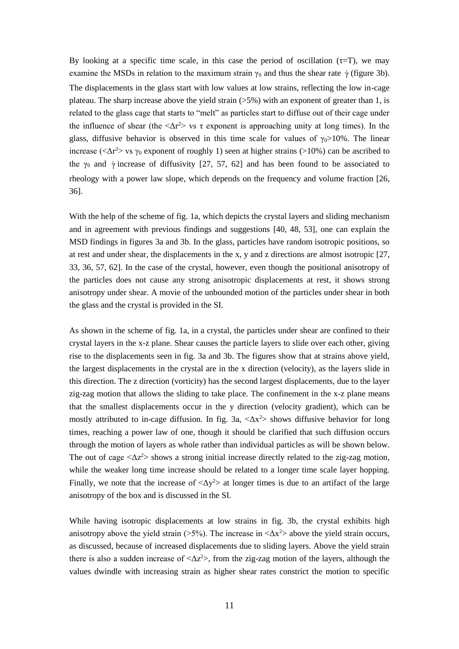By looking at a specific time scale, in this case the period of oscillation  $(\tau = T)$ , we may examine the MSDs in relation to the maximum strain  $\gamma_0$  and thus the shear rate  $\dot{\gamma}$  (figure 3b). The displacements in the glass start with low values at low strains, reflecting the low in-cage plateau. The sharp increase above the yield strain  $(55%)$  with an exponent of greater than 1, is related to the glass cage that starts to "melt" as particles start to diffuse out of their cage under the influence of shear (the  $\langle \Delta r^2 \rangle$  vs  $\tau$  exponent is approaching unity at long times). In the glass, diffusive behavior is observed in this time scale for values of  $\gamma_0 > 10\%$ . The linear increase ( $\langle \Delta r^2 \rangle$  vs  $\gamma_0$  exponent of roughly 1) seen at higher strains ( $>10\%$ ) can be ascribed to the  $\gamma_0$  and  $\dot{\gamma}$  increase of diffusivity [27, 57, 62] and has been found to be associated to rheology with a power law slope, which depends on the frequency and volume fraction [26, 36].

With the help of the scheme of fig. 1a, which depicts the crystal layers and sliding mechanism and in agreement with previous findings and suggestions [40, 48, 53], one can explain the MSD findings in figures 3a and 3b. In the glass, particles have random isotropic positions, so at rest and under shear, the displacements in the x, y and z directions are almost isotropic [27, 33, 36, 57, 62]. In the case of the crystal, however, even though the positional anisotropy of the particles does not cause any strong anisotropic displacements at rest, it shows strong anisotropy under shear. A movie of the unbounded motion of the particles under shear in both the glass and the crystal is provided in the SI.

As shown in the scheme of fig. 1a, in a crystal, the particles under shear are confined to their crystal layers in the x-z plane. Shear causes the particle layers to slide over each other, giving rise to the displacements seen in fig. 3a and 3b. The figures show that at strains above yield, the largest displacements in the crystal are in the x direction (velocity), as the layers slide in this direction. The z direction (vorticity) has the second largest displacements, due to the layer zig-zag motion that allows the sliding to take place. The confinement in the x-z plane means that the smallest displacements occur in the y direction (velocity gradient), which can be mostly attributed to in-cage diffusion. In fig. 3a,  $\langle \Delta x^2 \rangle$  shows diffusive behavior for long times, reaching a power law of one, though it should be clarified that such diffusion occurs through the motion of layers as whole rather than individual particles as will be shown below. The out of cage  $\langle \Delta z^2 \rangle$  shows a strong initial increase directly related to the zig-zag motion, while the weaker long time increase should be related to a longer time scale layer hopping. Finally, we note that the increase of  $\langle \Delta y^2 \rangle$  at longer times is due to an artifact of the large anisotropy of the box and is discussed in the SI.

While having isotropic displacements at low strains in fig. 3b, the crystal exhibits high anisotropy above the yield strain ( $>5\%$ ). The increase in  $<\Delta x^2$  above the yield strain occurs, as discussed, because of increased displacements due to sliding layers. Above the yield strain there is also a sudden increase of  $\langle \Delta z^2 \rangle$ , from the zig-zag motion of the layers, although the values dwindle with increasing strain as higher shear rates constrict the motion to specific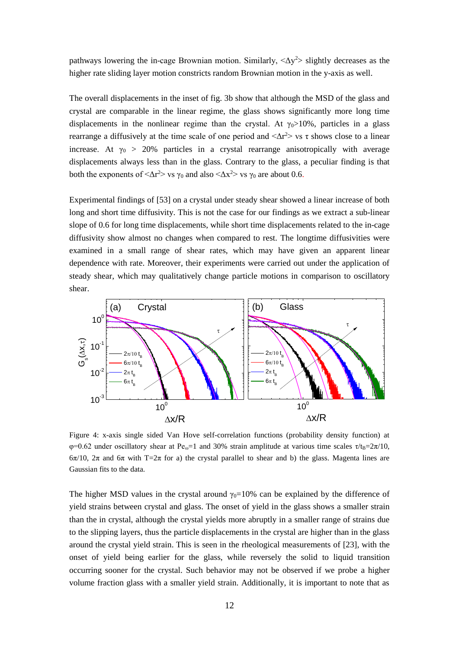pathways lowering the in-cage Brownian motion. Similarly,  $\langle \Delta y^2 \rangle$  slightly decreases as the higher rate sliding layer motion constricts random Brownian motion in the y-axis as well.

The overall displacements in the inset of fig. 3b show that although the MSD of the glass and crystal are comparable in the linear regime, the glass shows significantly more long time displacements in the nonlinear regime than the crystal. At  $\gamma_0 > 10\%$ , particles in a glass rearrange a diffusively at the time scale of one period and  $\langle \Delta r^2 \rangle$  vs  $\tau$  shows close to a linear increase. At  $\gamma_0 > 20\%$  particles in a crystal rearrange anisotropically with average displacements always less than in the glass. Contrary to the glass, a peculiar finding is that both the exponents of  $\langle \Delta r^2 \rangle$  vs  $\gamma_0$  and also  $\langle \Delta x^2 \rangle$  vs  $\gamma_0$  are about 0.6.

Experimental findings of [53] on a crystal under steady shear showed a linear increase of both long and short time diffusivity. This is not the case for our findings as we extract a sub-linear slope of 0.6 for long time displacements, while short time displacements related to the in-cage diffusivity show almost no changes when compared to rest. The longtime diffusivities were examined in a small range of shear rates, which may have given an apparent linear dependence with rate. Moreover, their experiments were carried out under the application of steady shear, which may qualitatively change particle motions in comparison to oscillatory shear.



Figure 4: x-axis single sided Van Hove self-correlation functions (probability density function) at  $\varphi$ =0.62 under oscillatory shear at Pe<sub>ω</sub>=1 and 30% strain amplitude at various time scales  $\tau$ /t<sub>B</sub>=2π/10,  $6\pi/10$ ,  $2\pi$  and  $6\pi$  with T=2 $\pi$  for a) the crystal parallel to shear and b) the glass. Magenta lines are Gaussian fits to the data.

The higher MSD values in the crystal around  $\gamma_0=10\%$  can be explained by the difference of yield strains between crystal and glass. The onset of yield in the glass shows a smaller strain than the in crystal, although the crystal yields more abruptly in a smaller range of strains due to the slipping layers, thus the particle displacements in the crystal are higher than in the glass around the crystal yield strain. This is seen in the rheological measurements of [23], with the onset of yield being earlier for the glass, while reversely the solid to liquid transition occurring sooner for the crystal. Such behavior may not be observed if we probe a higher volume fraction glass with a smaller yield strain. Additionally, it is important to note that as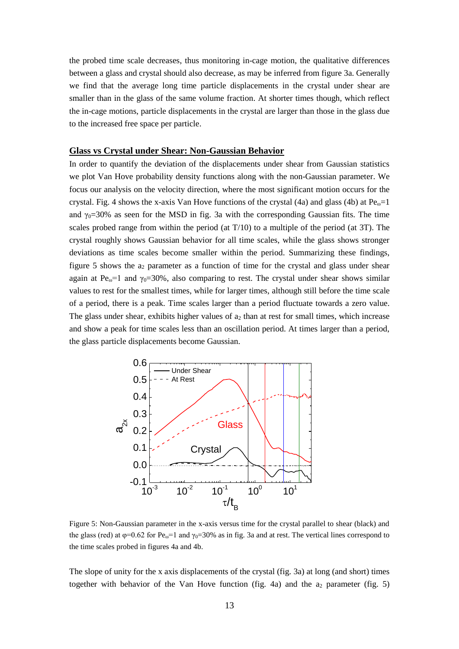the probed time scale decreases, thus monitoring in-cage motion, the qualitative differences between a glass and crystal should also decrease, as may be inferred from figure 3a. Generally we find that the average long time particle displacements in the crystal under shear are smaller than in the glass of the same volume fraction. At shorter times though, which reflect the in-cage motions, particle displacements in the crystal are larger than those in the glass due to the increased free space per particle.

#### **Glass vs Crystal under Shear: Non-Gaussian Behavior**

In order to quantify the deviation of the displacements under shear from Gaussian statistics we plot Van Hove probability density functions along with the non-Gaussian parameter. We focus our analysis on the velocity direction, where the most significant motion occurs for the crystal. Fig. 4 shows the x-axis Van Hove functions of the crystal (4a) and glass (4b) at  $Pe<sub>ω</sub>=1$ and  $\gamma_0$ =30% as seen for the MSD in fig. 3a with the corresponding Gaussian fits. The time scales probed range from within the period (at  $T/10$ ) to a multiple of the period (at 3T). The crystal roughly shows Gaussian behavior for all time scales, while the glass shows stronger deviations as time scales become smaller within the period. Summarizing these findings, figure 5 shows the  $a_2$  parameter as a function of time for the crystal and glass under shear again at Pe<sub>ω</sub>=1 and  $\gamma_0$ =30%, also comparing to rest. The crystal under shear shows similar values to rest for the smallest times, while for larger times, although still before the time scale of a period, there is a peak. Time scales larger than a period fluctuate towards a zero value. The glass under shear, exhibits higher values of  $a_2$  than at rest for small times, which increase and show a peak for time scales less than an oscillation period. At times larger than a period, the glass particle displacements become Gaussian.



Figure 5: Non-Gaussian parameter in the x-axis versus time for the crystal parallel to shear (black) and the glass (red) at  $\varphi$ =0.62 for Pe<sub>ω</sub>=1 and  $\gamma$ <sub>0</sub>=30% as in fig. 3a and at rest. The vertical lines correspond to the time scales probed in figures 4a and 4b.

The slope of unity for the x axis displacements of the crystal (fig. 3a) at long (and short) times together with behavior of the Van Hove function (fig. 4a) and the  $a_2$  parameter (fig. 5)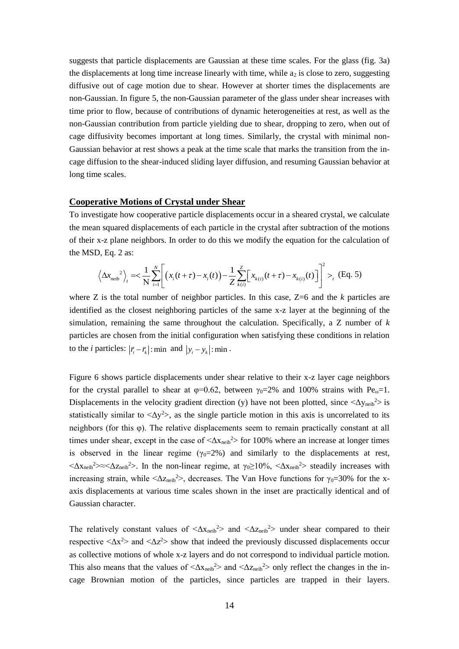suggests that particle displacements are Gaussian at these time scales. For the glass (fig. 3a) the displacements at long time increase linearly with time, while  $a_2$  is close to zero, suggesting diffusive out of cage motion due to shear. However at shorter times the displacements are non-Gaussian. In figure 5, the non-Gaussian parameter of the glass under shear increases with time prior to flow, because of contributions of dynamic heterogeneities at rest, as well as the non-Gaussian contribution from particle yielding due to shear, dropping to zero, when out of cage diffusivity becomes important at long times. Similarly, the crystal with minimal non-Gaussian behavior at rest shows a peak at the time scale that marks the transition from the incage diffusion to the shear-induced sliding layer diffusion, and resuming Gaussian behavior at long time scales.

#### **Cooperative Motions of Crystal under Shear**

To investigate how cooperative particle displacements occur in a sheared crystal, we calculate the mean squared displacements of each particle in the crystal after subtraction of the motions of their x-z plane neighbors. In order to do this we modify the equation for the calculation of<br>the MSD, Eq. 2 as:<br> $\langle \Delta x_{\text{neih}}^2 \rangle = \langle \frac{1}{n} \sum_{i=1}^{N} \left[ (x_i(t+\tau) - x_i(t)) - \frac{1}{n} \sum_{i=1}^{N} \left[ x_{k(i)}(t+\tau) - x_{k(i)}(t) \right]^{2} \rangle$ , (Eq the MSD, Eq. 2 as: -z plane neighbors. In order to do this we modify the equation for the calculat<br>
Eq. 2 as:<br>  $\Delta x_{neib}^2$ ,  $\Rightarrow \frac{1}{N} \sum_{i=1}^N \left[ (x_i(t+\tau) - x_i(t)) - \frac{1}{Z} \sum_{k(i)}^Z [x_{k(i)}(t+\tau) - x_{k(i)}(t)] \right]^2 >_t$  (Eq. 5)

A-Z plane integrators. In order to do this we modify the equation for the calculation,  
D, Eq. 2 as:  

$$
\left\langle \Delta x_{neib}^2 \right\rangle_t = \left\langle \frac{1}{N} \sum_{i=1}^N \left[ (x_i(t+\tau) - x_i(t)) - \frac{1}{Z} \sum_{k(i)}^Z \left[ x_{k(i)}(t+\tau) - x_{k(i)}(t) \right] \right]^2 \right\rangle_t
$$
(Eq. 5)

where Z is the total number of neighbor particles. In this case, Z=6 and the *k* particles are identified as the closest neighboring particles of the same x-z layer at the beginning of the simulation, remaining the same throughout the calculation. Specifically, a Z number of *k* particles are chosen from the initial configuration when satisfying these conditions in relation to the *i* particles:  $|\vec{r}_i - \vec{r}_k|$ : min and  $|y_i - y_k|$ : min.

Figure 6 shows particle displacements under shear relative to their x-z layer cage neighbors for the crystal parallel to shear at  $\varphi=0.62$ , between  $\gamma_0=2\%$  and 100% strains with Pe<sub>ω</sub>=1. Displacements in the velocity gradient direction (y) have not been plotted, since  $\langle \Delta y_{\text{neib}}^2 \rangle$  is statistically similar to  $\langle \Delta y^2 \rangle$ , as the single particle motion in this axis is uncorrelated to its neighbors (for this φ). The relative displacements seem to remain practically constant at all times under shear, except in the case of  $\langle \Delta x_{\text{neib}}^2 \rangle$  for 100% where an increase at longer times is observed in the linear regime ( $\gamma_0=2\%$ ) and similarly to the displacements at rest,  $\langle \Delta x_{\text{neib}}^2 \rangle \approx \langle \Delta z_{\text{neib}}^2 \rangle$ . In the non-linear regime, at  $\gamma_0 \ge 10\%$ ,  $\langle \Delta x_{\text{neib}}^2 \rangle$  steadily increases with increasing strain, while  $\langle \Delta z_{\text{neib}}^2 \rangle$ , decreases. The Van Hove functions for  $\gamma_0 = 30\%$  for the xaxis displacements at various time scales shown in the inset are practically identical and of Gaussian character.

The relatively constant values of  $\langle \Delta x_{\text{neib}}^2 \rangle$  and  $\langle \Delta z_{\text{neib}}^2 \rangle$  under shear compared to their respective  $\langle \Delta x^2 \rangle$  and  $\langle \Delta z^2 \rangle$  show that indeed the previously discussed displacements occur as collective motions of whole x-z layers and do not correspond to individual particle motion. This also means that the values of  $\langle \Delta x_{\text{neib}}^2 \rangle$  and  $\langle \Delta z_{\text{neib}}^2 \rangle$  only reflect the changes in the incage Brownian motion of the particles, since particles are trapped in their layers.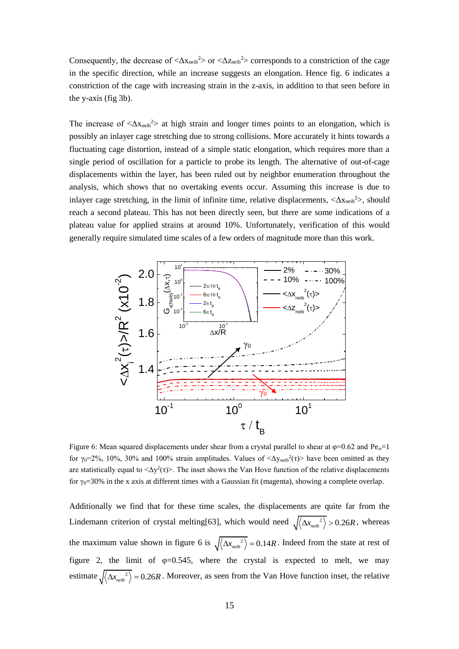Consequently, the decrease of  $\langle \Delta x_{\text{neib}}^2 \rangle$  or  $\langle \Delta z_{\text{neib}}^2 \rangle$  corresponds to a constriction of the cage in the specific direction, while an increase suggests an elongation. Hence fig. 6 indicates a constriction of the cage with increasing strain in the z-axis, in addition to that seen before in the y-axis (fig 3b).

The increase of  $\langle \Delta x_{\text{neib}}^2 \rangle$  at high strain and longer times points to an elongation, which is possibly an inlayer cage stretching due to strong collisions. More accurately it hints towards a fluctuating cage distortion, instead of a simple static elongation, which requires more than a single period of oscillation for a particle to probe its length. The alternative of out-of-cage displacements within the layer, has been ruled out by neighbor enumeration throughout the analysis, which shows that no overtaking events occur. Assuming this increase is due to inlayer cage stretching, in the limit of infinite time, relative displacements,  $\langle \Delta x_{\text{neib}}^2 \rangle$ , should reach a second plateau. This has not been directly seen, but there are some indications of a plateau value for applied strains at around 10%. Unfortunately, verification of this would generally require simulated time scales of a few orders of magnitude more than this work.



Figure 6: Mean squared displacements under shear from a crystal parallel to shear at  $\varphi$ =0.62 and Pe<sub>ω</sub>=1 for  $\gamma_0 = 2\%$ , 10%, 30% and 100% strain amplitudes. Values of  $\langle \Delta y_{\text{neib}}^2(\tau) \rangle$  have been omitted as they are statistically equal to  $\langle \Delta y^2(\tau) \rangle$ . The inset shows the Van Hove function of the relative displacements for γ<sub>0</sub>=30% in the x axis at different times with a Gaussian fit (magenta), showing a complete overlap.

Additionally we find that for these time scales, the displacements are quite far from the Lindemann criterion of crystal melting[63], which would need  $\sqrt{\langle \Delta x_{neib}^2 \rangle} > 0.26R$ , whereas the maximum value shown in figure 6 is  $\sqrt{\langle \Delta x_{neib}^2 \rangle} = 0.14R$ . Indeed from the state at rest of figure 2, the limit of  $\varphi=0.545$ , where the crystal is expected to melt, we may estimate  $\sqrt{\langle \Delta x_{neib}^2 \rangle} = 0.26R$ . Moreover, as seen from the Van Hove function inset, the relative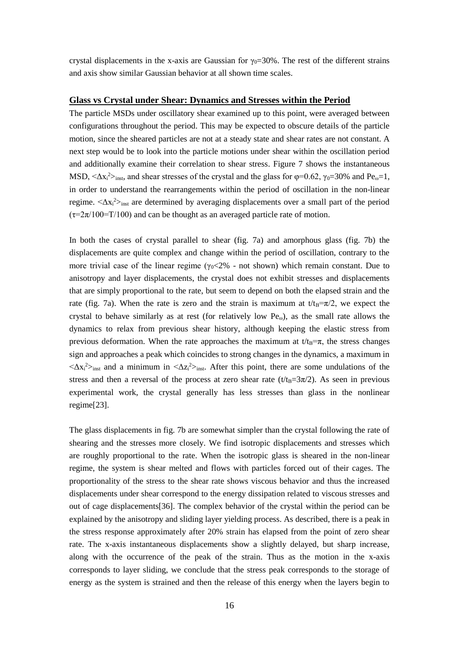crystal displacements in the x-axis are Gaussian for  $\gamma_0$ =30%. The rest of the different strains and axis show similar Gaussian behavior at all shown time scales.

#### **Glass vs Crystal under Shear: Dynamics and Stresses within the Period**

The particle MSDs under oscillatory shear examined up to this point, were averaged between configurations throughout the period. This may be expected to obscure details of the particle motion, since the sheared particles are not at a steady state and shear rates are not constant. A next step would be to look into the particle motions under shear within the oscillation period and additionally examine their correlation to shear stress. Figure 7 shows the instantaneous MSD,  $\langle \Delta x_i^2 \rangle_{inst}$ , and shear stresses of the crystal and the glass for  $\varphi$ =0.62,  $\gamma_0$ =30% and Pe<sub>ω</sub>=1, in order to understand the rearrangements within the period of oscillation in the non-linear regime.  $\langle \Delta x_i^2 \rangle_{inst}$  are determined by averaging displacements over a small part of the period  $(\tau=2\pi/100=T/100)$  and can be thought as an averaged particle rate of motion.

In both the cases of crystal parallel to shear (fig. 7a) and amorphous glass (fig. 7b) the displacements are quite complex and change within the period of oscillation, contrary to the more trivial case of the linear regime ( $\gamma_0$ <2% - not shown) which remain constant. Due to anisotropy and layer displacements, the crystal does not exhibit stresses and displacements that are simply proportional to the rate, but seem to depend on both the elapsed strain and the rate (fig. 7a). When the rate is zero and the strain is maximum at  $t/t_B=\pi/2$ , we expect the crystal to behave similarly as at rest (for relatively low  $Pe<sub>ω</sub>$ ), as the small rate allows the dynamics to relax from previous shear history, although keeping the elastic stress from previous deformation. When the rate approaches the maximum at  $t/t_B = \pi$ , the stress changes sign and approaches a peak which coincides to strong changes in the dynamics, a maximum in  $\langle \Delta x_i^2 \rangle$ <sub>inst</sub> and a minimum in  $\langle \Delta z_i^2 \rangle$ <sub>inst</sub>. After this point, there are some undulations of the stress and then a reversal of the process at zero shear rate ( $t/t_B=3\pi/2$ ). As seen in previous experimental work, the crystal generally has less stresses than glass in the nonlinear regime[23].

The glass displacements in fig. 7b are somewhat simpler than the crystal following the rate of shearing and the stresses more closely. We find isotropic displacements and stresses which are roughly proportional to the rate. When the isotropic glass is sheared in the non-linear regime, the system is shear melted and flows with particles forced out of their cages. The proportionality of the stress to the shear rate shows viscous behavior and thus the increased displacements under shear correspond to the energy dissipation related to viscous stresses and out of cage displacements[36]. The complex behavior of the crystal within the period can be explained by the anisotropy and sliding layer yielding process. As described, there is a peak in the stress response approximately after 20% strain has elapsed from the point of zero shear rate. The x-axis instantaneous displacements show a slightly delayed, but sharp increase, along with the occurrence of the peak of the strain. Thus as the motion in the x-axis corresponds to layer sliding, we conclude that the stress peak corresponds to the storage of energy as the system is strained and then the release of this energy when the layers begin to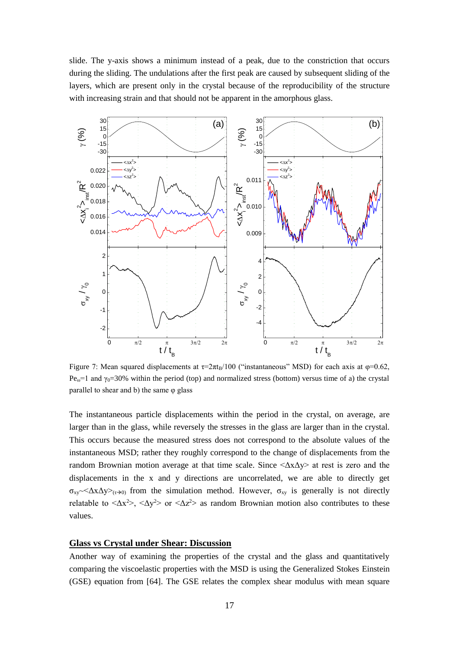slide. The y-axis shows a minimum instead of a peak, due to the constriction that occurs during the sliding. The undulations after the first peak are caused by subsequent sliding of the layers, which are present only in the crystal because of the reproducibility of the structure with increasing strain and that should not be apparent in the amorphous glass.



Figure 7: Mean squared displacements at  $\tau = 2\pi t_B/100$  ("instantaneous" MSD) for each axis at  $\varphi = 0.62$ ,  $Pe<sub>ω</sub>=1$  and γ<sub>0</sub>=30% within the period (top) and normalized stress (bottom) versus time of a) the crystal parallel to shear and b) the same  $\varphi$  glass

The instantaneous particle displacements within the period in the crystal, on average, are larger than in the glass, while reversely the stresses in the glass are larger than in the crystal. This occurs because the measured stress does not correspond to the absolute values of the instantaneous MSD; rather they roughly correspond to the change of displacements from the random Brownian motion average at that time scale. Since  $\langle \Delta x \Delta y \rangle$  at rest is zero and the displacements in the x and y directions are uncorrelated, we are able to directly get  $\sigma_{xy} \sim \Delta x \Delta y \rightarrow_{(\tau \to 0)}$  from the simulation method. However,  $\sigma_{xy}$  is generally is not directly relatable to  $\langle \Delta x^2 \rangle$ ,  $\langle \Delta y^2 \rangle$  or  $\langle \Delta z^2 \rangle$  as random Brownian motion also contributes to these values.

#### **Glass vs Crystal under Shear: Discussion**

Another way of examining the properties of the crystal and the glass and quantitatively comparing the viscoelastic properties with the MSD is using the Generalized Stokes Einstein (GSE) equation from [64]. The GSE relates the complex shear modulus with mean square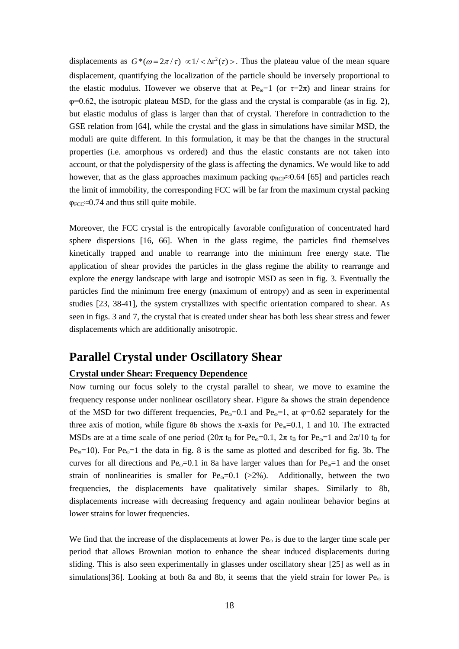displacements as  $G^*(\omega = 2\pi/\tau) \propto 1/<\Delta r^2(\tau)>$ . Thus the plateau value of the mean square displacement, quantifying the localization of the particle should be inversely proportional to the elastic modulus. However we observe that at Pe<sub>ω</sub>=1 (or  $\tau=2\pi$ ) and linear strains for  $\varphi$ =0.62, the isotropic plateau MSD, for the glass and the crystal is comparable (as in fig. 2), but elastic modulus of glass is larger than that of crystal. Therefore in contradiction to the GSE relation from [64], while the crystal and the glass in simulations have similar MSD, the moduli are quite different. In this formulation, it may be that the changes in the structural properties (i.e. amorphous vs ordered) and thus the elastic constants are not taken into account, or that the polydispersity of the glass is affecting the dynamics. We would like to add however, that as the glass approaches maximum packing  $\varphi_{\text{RCP}} \approx 0.64$  [65] and particles reach the limit of immobility, the corresponding FCC will be far from the maximum crystal packing  $\varphi_{\text{FCC}} \approx 0.74$  and thus still quite mobile.

Moreover, the FCC crystal is the entropically favorable configuration of concentrated hard sphere dispersions [16, 66]. When in the glass regime, the particles find themselves kinetically trapped and unable to rearrange into the minimum free energy state. The application of shear provides the particles in the glass regime the ability to rearrange and explore the energy landscape with large and isotropic MSD as seen in fig. 3. Eventually the particles find the minimum free energy (maximum of entropy) and as seen in experimental studies [23, 38-41], the system crystallizes with specific orientation compared to shear. As seen in figs. 3 and 7, the crystal that is created under shear has both less shear stress and fewer displacements which are additionally anisotropic.

### **Parallel Crystal under Oscillatory Shear**

#### **Crystal under Shear: Frequency Dependence**

Now turning our focus solely to the crystal parallel to shear, we move to examine the frequency response under nonlinear oscillatory shear. Figure 8a shows the strain dependence of the MSD for two different frequencies,  $Pe_{\omega}=0.1$  and  $Pe_{\omega}=1$ , at  $\varphi=0.62$  separately for the three axis of motion, while figure 8b shows the x-axis for  $Pe_{\omega}=0.1$ , 1 and 10. The extracted MSDs are at a time scale of one period ( $20\pi$  t<sub>B</sub> for Pe<sub>ω</sub>=0.1,  $2\pi$  t<sub>B</sub> for Pe<sub>ω</sub>=1 and  $2\pi/10$  t<sub>B</sub> for Pe<sub>ω</sub>=10). For Pe<sub>ω</sub>=1 the data in fig. 8 is the same as plotted and described for fig. 3b. The curves for all directions and Pe<sub>ω</sub>=0.1 in 8a have larger values than for Pe<sub>ω</sub>=1 and the onset strain of nonlinearities is smaller for  $Pe<sub>ω</sub>=0.1$  (>2%). Additionally, between the two frequencies, the displacements have qualitatively similar shapes. Similarly to 8b, displacements increase with decreasing frequency and again nonlinear behavior begins at lower strains for lower frequencies.

We find that the increase of the displacements at lower  $Pe_{\omega}$  is due to the larger time scale per period that allows Brownian motion to enhance the shear induced displacements during sliding. This is also seen experimentally in glasses under oscillatory shear [25] as well as in simulations[36]. Looking at both 8a and 8b, it seems that the yield strain for lower  $Pe_{\omega}$  is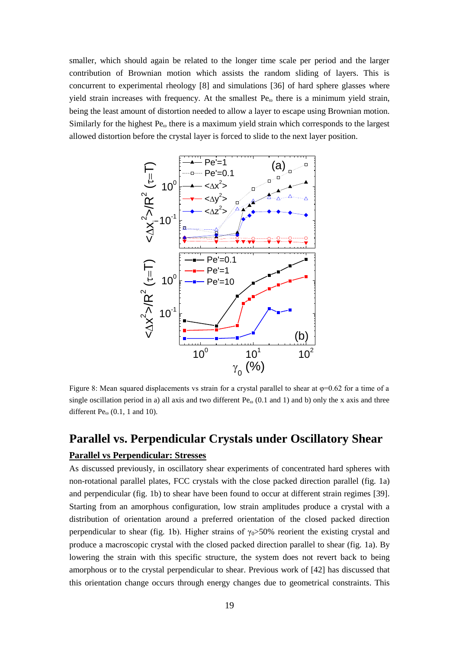smaller, which should again be related to the longer time scale per period and the larger contribution of Brownian motion which assists the random sliding of layers. This is concurrent to experimental rheology [8] and simulations [36] of hard sphere glasses where yield strain increases with frequency. At the smallest  $Pe<sub>ω</sub>$  there is a minimum yield strain, being the least amount of distortion needed to allow a layer to escape using Brownian motion. Similarly for the highest  $Pe_{\omega}$  there is a maximum yield strain which corresponds to the largest allowed distortion before the crystal layer is forced to slide to the next layer position.



Figure 8: Mean squared displacements vs strain for a crystal parallel to shear at  $\varphi$ =0.62 for a time of a single oscillation period in a) all axis and two different  $Pe_{\omega}$  (0.1 and 1) and b) only the x axis and three different  $Pe_{\omega}$  (0.1, 1 and 10).

# **Parallel vs. Perpendicular Crystals under Oscillatory Shear Parallel vs Perpendicular: Stresses**

As discussed previously, in oscillatory shear experiments of concentrated hard spheres with non-rotational parallel plates, FCC crystals with the close packed direction parallel (fig. 1a) and perpendicular (fig. 1b) to shear have been found to occur at different strain regimes [39]. Starting from an amorphous configuration, low strain amplitudes produce a crystal with a distribution of orientation around a preferred orientation of the closed packed direction perpendicular to shear (fig. 1b). Higher strains of  $\gamma_0 > 50\%$  reorient the existing crystal and produce a macroscopic crystal with the closed packed direction parallel to shear (fig. 1a). By lowering the strain with this specific structure, the system does not revert back to being amorphous or to the crystal perpendicular to shear. Previous work of [42] has discussed that this orientation change occurs through energy changes due to geometrical constraints. This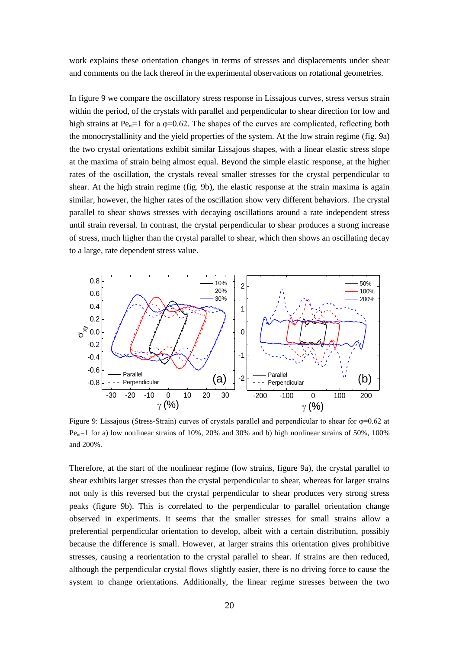work explains these orientation changes in terms of stresses and displacements under shear and comments on the lack thereof in the experimental observations on rotational geometries.

In figure 9 we compare the oscillatory stress response in Lissajous curves, stress versus strain within the period, of the crystals with parallel and perpendicular to shear direction for low and high strains at Pe<sub>ω</sub>=1 for a  $\varphi$ =0.62. The shapes of the curves are complicated, reflecting both the monocrystallinity and the yield properties of the system. At the low strain regime (fig. 9a) the two crystal orientations exhibit similar Lissajous shapes, with a linear elastic stress slope at the maxima of strain being almost equal. Beyond the simple elastic response, at the higher rates of the oscillation, the crystals reveal smaller stresses for the crystal perpendicular to shear. At the high strain regime (fig. 9b), the elastic response at the strain maxima is again similar, however, the higher rates of the oscillation show very different behaviors. The crystal parallel to shear shows stresses with decaying oscillations around a rate independent stress until strain reversal. In contrast, the crystal perpendicular to shear produces a strong increase of stress, much higher than the crystal parallel to shear, which then shows an oscillating decay to a large, rate dependent stress value.



Figure 9: Lissajous (Stress-Strain) curves of crystals parallel and perpendicular to shear for  $\varphi$ =0.62 at  $Pe<sub>ω</sub>=1$  for a) low nonlinear strains of 10%, 20% and 30% and b) high nonlinear strains of 50%, 100% and 200%.

Therefore, at the start of the nonlinear regime (low strains, figure 9a), the crystal parallel to shear exhibits larger stresses than the crystal perpendicular to shear, whereas for larger strains not only is this reversed but the crystal perpendicular to shear produces very strong stress peaks (figure 9b). This is correlated to the perpendicular to parallel orientation change observed in experiments. It seems that the smaller stresses for small strains allow a preferential perpendicular orientation to develop, albeit with a certain distribution, possibly because the difference is small. However, at larger strains this orientation gives prohibitive stresses, causing a reorientation to the crystal parallel to shear. If strains are then reduced, although the perpendicular crystal flows slightly easier, there is no driving force to cause the system to change orientations. Additionally, the linear regime stresses between the two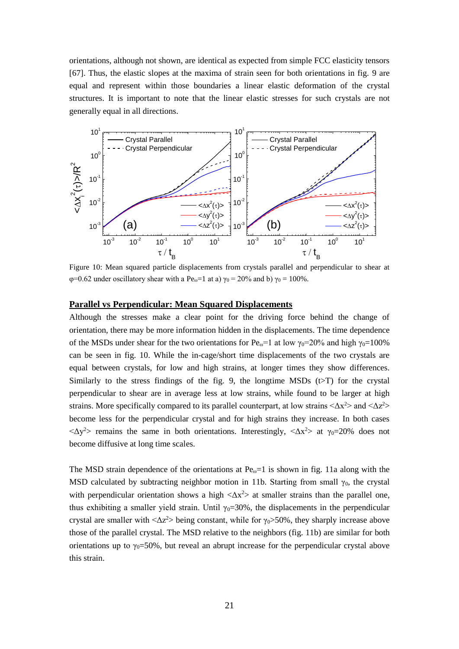orientations, although not shown, are identical as expected from simple FCC elasticity tensors [67]. Thus, the elastic slopes at the maxima of strain seen for both orientations in fig. 9 are equal and represent within those boundaries a linear elastic deformation of the crystal structures. It is important to note that the linear elastic stresses for such crystals are not generally equal in all directions.



Figure 10: Mean squared particle displacements from crystals parallel and perpendicular to shear at  $\varphi$ =0.62 under oscillatory shear with a Pe<sub>ω</sub>=1 at a)  $\gamma_0$  = 20% and b)  $\gamma_0$  = 100%.

#### **Parallel vs Perpendicular: Mean Squared Displacements**

Although the stresses make a clear point for the driving force behind the change of orientation, there may be more information hidden in the displacements. The time dependence of the MSDs under shear for the two orientations for Pe<sub>ω</sub>=1 at low  $\gamma_0$ =20% and high  $\gamma_0$ =100% can be seen in fig. 10. While the in-cage/short time displacements of the two crystals are equal between crystals, for low and high strains, at longer times they show differences. Similarly to the stress findings of the fig. 9, the longtime MSDs  $(t>T)$  for the crystal perpendicular to shear are in average less at low strains, while found to be larger at high strains. More specifically compared to its parallel counterpart, at low strains  $\langle \Delta x^2 \rangle$  and  $\langle \Delta z^2 \rangle$ become less for the perpendicular crystal and for high strains they increase. In both cases  $\langle \Delta y^2 \rangle$  remains the same in both orientations. Interestingly,  $\langle \Delta x^2 \rangle$  at  $\gamma_0 = 20\%$  does not become diffusive at long time scales.

The MSD strain dependence of the orientations at  $Pe<sub>o</sub>=1$  is shown in fig. 11a along with the MSD calculated by subtracting neighbor motion in 11b. Starting from small  $\gamma_0$ , the crystal with perpendicular orientation shows a high  $\langle \Delta x^2 \rangle$  at smaller strains than the parallel one, thus exhibiting a smaller yield strain. Until  $\gamma_0$ =30%, the displacements in the perpendicular crystal are smaller with  $\langle \Delta z^2 \rangle$  being constant, while for  $\gamma_0 \rangle$  50%, they sharply increase above those of the parallel crystal. The MSD relative to the neighbors (fig. 11b) are similar for both orientations up to  $\gamma_0$ =50%, but reveal an abrupt increase for the perpendicular crystal above this strain.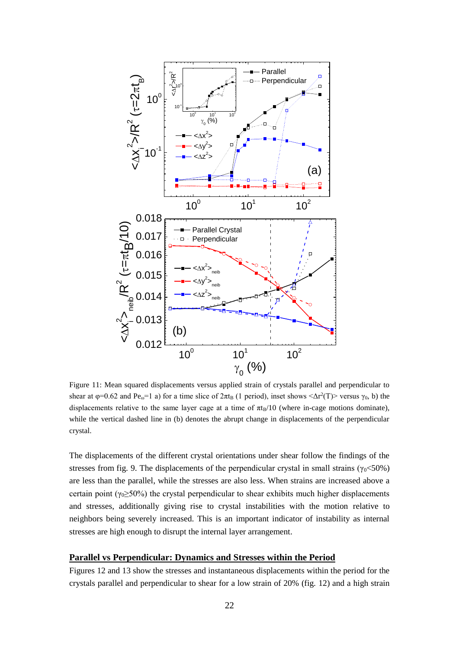

Figure 11: Mean squared displacements versus applied strain of crystals parallel and perpendicular to shear at  $\varphi$ =0.62 and Pe<sub>ω</sub>=1 a) for a time slice of  $2\pi t_B$  (1 period), inset shows  $\langle \Delta r^2(T) \rangle$  versus  $\gamma_0$ , b) the displacements relative to the same layer cage at a time of  $\pi_{B}/10$  (where in-cage motions dominate), while the vertical dashed line in (b) denotes the abrupt change in displacements of the perpendicular crystal.

The displacements of the different crystal orientations under shear follow the findings of the stresses from fig. 9. The displacements of the perpendicular crystal in small strains ( $\gamma_0$ <50%) are less than the parallel, while the stresses are also less. When strains are increased above a certain point ( $\gamma_0 \geq 50\%$ ) the crystal perpendicular to shear exhibits much higher displacements and stresses, additionally giving rise to crystal instabilities with the motion relative to neighbors being severely increased. This is an important indicator of instability as internal stresses are high enough to disrupt the internal layer arrangement.

#### **Parallel vs Perpendicular: Dynamics and Stresses within the Period**

Figures 12 and 13 show the stresses and instantaneous displacements within the period for the crystals parallel and perpendicular to shear for a low strain of 20% (fig. 12) and a high strain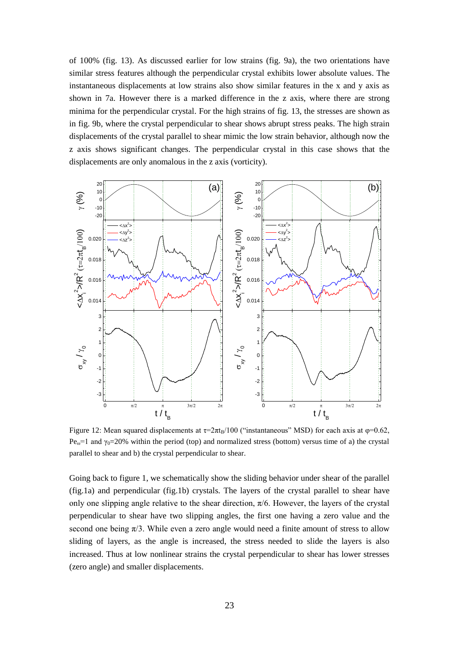of 100% (fig. 13). As discussed earlier for low strains (fig. 9a), the two orientations have similar stress features although the perpendicular crystal exhibits lower absolute values. The instantaneous displacements at low strains also show similar features in the x and y axis as shown in 7a. However there is a marked difference in the z axis, where there are strong minima for the perpendicular crystal. For the high strains of fig. 13, the stresses are shown as in fig. 9b, where the crystal perpendicular to shear shows abrupt stress peaks. The high strain displacements of the crystal parallel to shear mimic the low strain behavior, although now the z axis shows significant changes. The perpendicular crystal in this case shows that the displacements are only anomalous in the z axis (vorticity).



Figure 12: Mean squared displacements at  $\tau = 2\pi \frac{1}{B} \left( 100 \right)$  ("instantaneous" MSD) for each axis at  $\varphi = 0.62$ , Pe<sub>ω</sub>=1 and  $γ_0=20%$  within the period (top) and normalized stress (bottom) versus time of a) the crystal parallel to shear and b) the crystal perpendicular to shear.

Going back to figure 1, we schematically show the sliding behavior under shear of the parallel (fig.1a) and perpendicular (fig.1b) crystals. The layers of the crystal parallel to shear have only one slipping angle relative to the shear direction,  $\pi/6$ . However, the layers of the crystal perpendicular to shear have two slipping angles, the first one having a zero value and the second one being  $\pi/3$ . While even a zero angle would need a finite amount of stress to allow sliding of layers, as the angle is increased, the stress needed to slide the layers is also increased. Thus at low nonlinear strains the crystal perpendicular to shear has lower stresses (zero angle) and smaller displacements.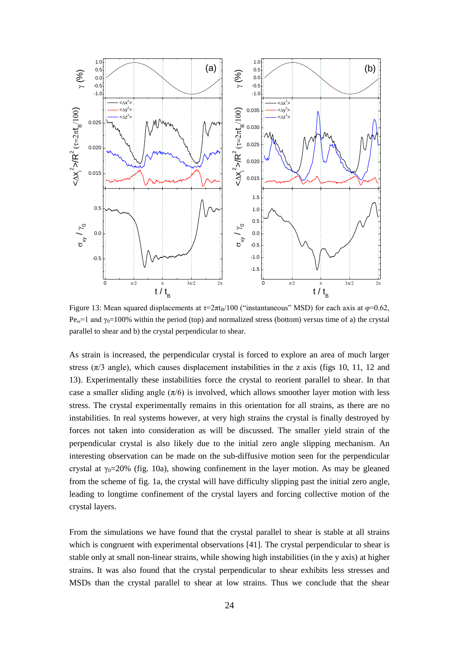

Figure 13: Mean squared displacements at  $\tau = 2\pi t_B/100$  ("instantaneous" MSD) for each axis at  $\varphi = 0.62$ , Pe<sub>ω</sub>=1 and γ<sub>0</sub>=100% within the period (top) and normalized stress (bottom) versus time of a) the crystal parallel to shear and b) the crystal perpendicular to shear.

As strain is increased, the perpendicular crystal is forced to explore an area of much larger stress  $(\pi/3$  angle), which causes displacement instabilities in the z axis (figs 10, 11, 12 and 13). Experimentally these instabilities force the crystal to reorient parallel to shear. In that case a smaller sliding angle  $(\pi/6)$  is involved, which allows smoother layer motion with less stress. The crystal experimentally remains in this orientation for all strains, as there are no instabilities. In real systems however, at very high strains the crystal is finally destroyed by forces not taken into consideration as will be discussed. The smaller yield strain of the perpendicular crystal is also likely due to the initial zero angle slipping mechanism. An interesting observation can be made on the sub-diffusive motion seen for the perpendicular crystal at  $\gamma_0 = 20\%$  (fig. 10a), showing confinement in the layer motion. As may be gleaned from the scheme of fig. 1a, the crystal will have difficulty slipping past the initial zero angle, leading to longtime confinement of the crystal layers and forcing collective motion of the crystal layers.

From the simulations we have found that the crystal parallel to shear is stable at all strains which is congruent with experimental observations [41]. The crystal perpendicular to shear is stable only at small non-linear strains, while showing high instabilities (in the y axis) at higher strains. It was also found that the crystal perpendicular to shear exhibits less stresses and MSDs than the crystal parallel to shear at low strains. Thus we conclude that the shear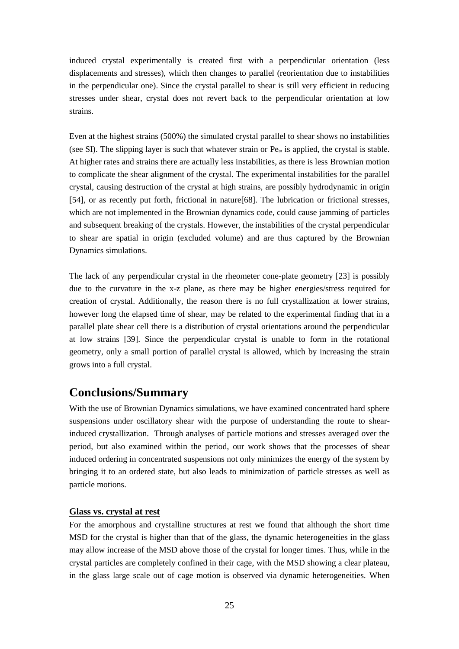induced crystal experimentally is created first with a perpendicular orientation (less displacements and stresses), which then changes to parallel (reorientation due to instabilities in the perpendicular one). Since the crystal parallel to shear is still very efficient in reducing stresses under shear, crystal does not revert back to the perpendicular orientation at low strains.

Even at the highest strains (500%) the simulated crystal parallel to shear shows no instabilities (see SI). The slipping layer is such that whatever strain or  $Pe_{\omega}$  is applied, the crystal is stable. At higher rates and strains there are actually less instabilities, as there is less Brownian motion to complicate the shear alignment of the crystal. The experimental instabilities for the parallel crystal, causing destruction of the crystal at high strains, are possibly hydrodynamic in origin [54], or as recently put forth, frictional in nature[68]. The lubrication or frictional stresses, which are not implemented in the Brownian dynamics code, could cause jamming of particles and subsequent breaking of the crystals. However, the instabilities of the crystal perpendicular to shear are spatial in origin (excluded volume) and are thus captured by the Brownian Dynamics simulations.

The lack of any perpendicular crystal in the rheometer cone-plate geometry [23] is possibly due to the curvature in the x-z plane, as there may be higher energies/stress required for creation of crystal. Additionally, the reason there is no full crystallization at lower strains, however long the elapsed time of shear, may be related to the experimental finding that in a parallel plate shear cell there is a distribution of crystal orientations around the perpendicular at low strains [39]. Since the perpendicular crystal is unable to form in the rotational geometry, only a small portion of parallel crystal is allowed, which by increasing the strain grows into a full crystal.

# **Conclusions/Summary**

With the use of Brownian Dynamics simulations, we have examined concentrated hard sphere suspensions under oscillatory shear with the purpose of understanding the route to shearinduced crystallization. Through analyses of particle motions and stresses averaged over the period, but also examined within the period, our work shows that the processes of shear induced ordering in concentrated suspensions not only minimizes the energy of the system by bringing it to an ordered state, but also leads to minimization of particle stresses as well as particle motions.

#### **Glass vs. crystal at rest**

For the amorphous and crystalline structures at rest we found that although the short time MSD for the crystal is higher than that of the glass, the dynamic heterogeneities in the glass may allow increase of the MSD above those of the crystal for longer times. Thus, while in the crystal particles are completely confined in their cage, with the MSD showing a clear plateau, in the glass large scale out of cage motion is observed via dynamic heterogeneities. When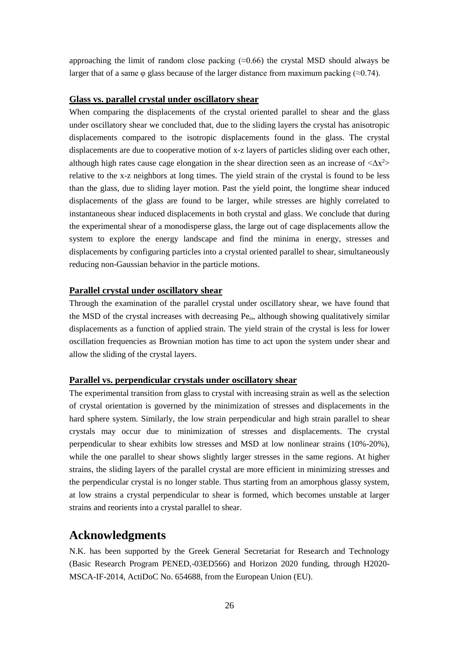approaching the limit of random close packing  $(\approx 0.66)$  the crystal MSD should always be larger that of a same  $\varphi$  glass because of the larger distance from maximum packing ( $\approx$ 0.74).

#### **Glass vs. parallel crystal under oscillatory shear**

When comparing the displacements of the crystal oriented parallel to shear and the glass under oscillatory shear we concluded that, due to the sliding layers the crystal has anisotropic displacements compared to the isotropic displacements found in the glass. The crystal displacements are due to cooperative motion of x-z layers of particles sliding over each other, although high rates cause cage elongation in the shear direction seen as an increase of  $\langle \Delta x^2 \rangle$ relative to the x-z neighbors at long times. The yield strain of the crystal is found to be less than the glass, due to sliding layer motion. Past the yield point, the longtime shear induced displacements of the glass are found to be larger, while stresses are highly correlated to instantaneous shear induced displacements in both crystal and glass. We conclude that during the experimental shear of a monodisperse glass, the large out of cage displacements allow the system to explore the energy landscape and find the minima in energy, stresses and displacements by configuring particles into a crystal oriented parallel to shear, simultaneously reducing non-Gaussian behavior in the particle motions.

#### **Parallel crystal under oscillatory shear**

Through the examination of the parallel crystal under oscillatory shear, we have found that the MSD of the crystal increases with decreasing  $Pe<sub>ω</sub>$ , although showing qualitatively similar displacements as a function of applied strain. The yield strain of the crystal is less for lower oscillation frequencies as Brownian motion has time to act upon the system under shear and allow the sliding of the crystal layers.

#### **Parallel vs. perpendicular crystals under oscillatory shear**

The experimental transition from glass to crystal with increasing strain as well as the selection of crystal orientation is governed by the minimization of stresses and displacements in the hard sphere system. Similarly, the low strain perpendicular and high strain parallel to shear crystals may occur due to minimization of stresses and displacements. The crystal perpendicular to shear exhibits low stresses and MSD at low nonlinear strains (10%-20%), while the one parallel to shear shows slightly larger stresses in the same regions. At higher strains, the sliding layers of the parallel crystal are more efficient in minimizing stresses and the perpendicular crystal is no longer stable. Thus starting from an amorphous glassy system, at low strains a crystal perpendicular to shear is formed, which becomes unstable at larger strains and reorients into a crystal parallel to shear.

### **Acknowledgments**

N.K. has been supported by the Greek General Secretariat for Research and Technology (Basic Research Program PENED,-03ED566) and Horizon 2020 funding, through H2020- MSCA-IF-2014, ActiDoC No. 654688, from the European Union (EU).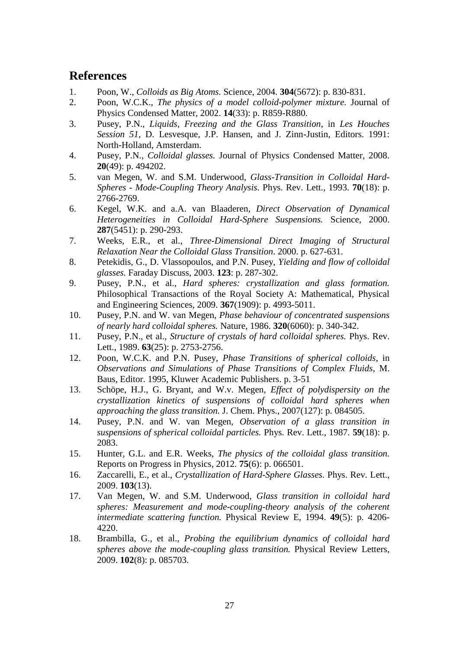## **References**

- 1. Poon, W., *Colloids as Big Atoms.* Science, 2004. **304**(5672): p. 830-831.
- 2. Poon, W.C.K., *The physics of a model colloid-polymer mixture.* Journal of Physics Condensed Matter, 2002. **14**(33): p. R859-R880.
- 3. Pusey, P.N., *Liquids, Freezing and the Glass Transition*, in *Les Houches Session 51*, D. Lesvesque, J.P. Hansen, and J. Zinn-Justin, Editors. 1991: North-Holland, Amsterdam.
- 4. Pusey, P.N., *Colloidal glasses.* Journal of Physics Condensed Matter, 2008. **20**(49): p. 494202.
- 5. van Megen, W. and S.M. Underwood, *Glass-Transition in Colloidal Hard-Spheres - Mode-Coupling Theory Analysis.* Phys. Rev. Lett., 1993. **70**(18): p. 2766-2769.
- 6. Kegel, W.K. and a.A. van Blaaderen, *Direct Observation of Dynamical Heterogeneities in Colloidal Hard-Sphere Suspensions.* Science, 2000. **287**(5451): p. 290-293.
- 7. Weeks, E.R., et al., *Three-Dimensional Direct Imaging of Structural Relaxation Near the Colloidal Glass Transition*. 2000. p. 627-631.
- 8. Petekidis, G., D. Vlassopoulos, and P.N. Pusey, *Yielding and flow of colloidal glasses.* Faraday Discuss, 2003. **123**: p. 287-302.
- 9. Pusey, P.N., et al., *Hard spheres: crystallization and glass formation.* Philosophical Transactions of the Royal Society A: Mathematical, Physical and Engineering Sciences, 2009. **367**(1909): p. 4993-5011.
- 10. Pusey, P.N. and W. van Megen, *Phase behaviour of concentrated suspensions of nearly hard colloidal spheres.* Nature, 1986. **320**(6060): p. 340-342.
- 11. Pusey, P.N., et al., *Structure of crystals of hard colloidal spheres.* Phys. Rev. Lett., 1989. **63**(25): p. 2753-2756.
- 12. Poon, W.C.K. and P.N. Pusey, *Phase Transitions of spherical colloids*, in *Observations and Simulations of Phase Transitions of Complex Fluids*, M. Baus, Editor. 1995, Kluwer Academic Publishers. p. 3-51
- 13. Schöpe, H.J., G. Bryant, and W.v. Megen, *Effect of polydispersity on the crystallization kinetics of suspensions of colloidal hard spheres when approaching the glass transition.* J. Chem. Phys., 2007(127): p. 084505.
- 14. Pusey, P.N. and W. van Megen, *Observation of a glass transition in suspensions of spherical colloidal particles.* Phys. Rev. Lett., 1987. **59**(18): p. 2083.
- 15. Hunter, G.L. and E.R. Weeks, *The physics of the colloidal glass transition.* Reports on Progress in Physics, 2012. **75**(6): p. 066501.
- 16. Zaccarelli, E., et al., *Crystallization of Hard-Sphere Glasses.* Phys. Rev. Lett., 2009. **103**(13).
- 17. Van Megen, W. and S.M. Underwood, *Glass transition in colloidal hard spheres: Measurement and mode-coupling-theory analysis of the coherent intermediate scattering function.* Physical Review E, 1994. **49**(5): p. 4206- 4220.
- 18. Brambilla, G., et al., *Probing the equilibrium dynamics of colloidal hard spheres above the mode-coupling glass transition.* Physical Review Letters, 2009. **102**(8): p. 085703.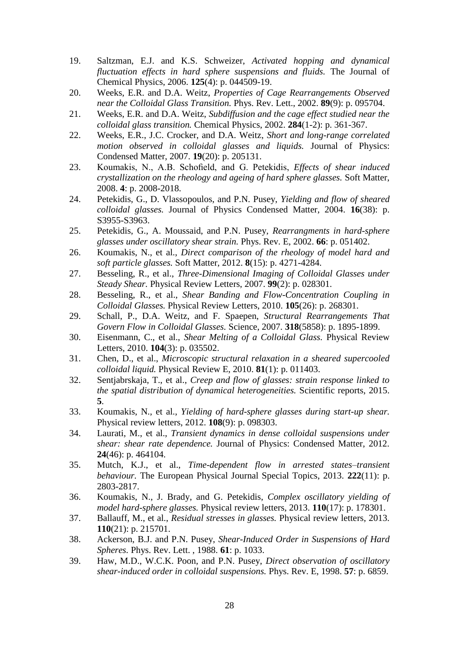- 19. Saltzman, E.J. and K.S. Schweizer, *Activated hopping and dynamical fluctuation effects in hard sphere suspensions and fluids.* The Journal of Chemical Physics, 2006. **125**(4): p. 044509-19.
- 20. Weeks, E.R. and D.A. Weitz, *Properties of Cage Rearrangements Observed near the Colloidal Glass Transition.* Phys. Rev. Lett., 2002. **89**(9): p. 095704.
- 21. Weeks, E.R. and D.A. Weitz, *Subdiffusion and the cage effect studied near the colloidal glass transition.* Chemical Physics, 2002. **284**(1-2): p. 361-367.
- 22. Weeks, E.R., J.C. Crocker, and D.A. Weitz, *Short and long-range correlated motion observed in colloidal glasses and liquids.* Journal of Physics: Condensed Matter, 2007. **19**(20): p. 205131.
- 23. Koumakis, N., A.B. Schofield, and G. Petekidis, *Effects of shear induced crystallization on the rheology and ageing of hard sphere glasses.* Soft Matter, 2008. **4**: p. 2008-2018.
- 24. Petekidis, G., D. Vlassopoulos, and P.N. Pusey, *Yielding and flow of sheared colloidal glasses.* Journal of Physics Condensed Matter, 2004. **16**(38): p. S3955-S3963.
- 25. Petekidis, G., A. Moussaid, and P.N. Pusey, *Rearrangments in hard-sphere glasses under oscillatory shear strain.* Phys. Rev. E, 2002. **66**: p. 051402.
- 26. Koumakis, N., et al., *Direct comparison of the rheology of model hard and soft particle glasses.* Soft Matter, 2012. **8**(15): p. 4271-4284.
- 27. Besseling, R., et al., *Three-Dimensional Imaging of Colloidal Glasses under Steady Shear.* Physical Review Letters, 2007. **99**(2): p. 028301.
- 28. Besseling, R., et al., *Shear Banding and Flow-Concentration Coupling in Colloidal Glasses.* Physical Review Letters, 2010. **105**(26): p. 268301.
- 29. Schall, P., D.A. Weitz, and F. Spaepen, *Structural Rearrangements That Govern Flow in Colloidal Glasses.* Science, 2007. **318**(5858): p. 1895-1899.
- 30. Eisenmann, C., et al., *Shear Melting of a Colloidal Glass.* Physical Review Letters, 2010. **104**(3): p. 035502.
- 31. Chen, D., et al., *Microscopic structural relaxation in a sheared supercooled colloidal liquid.* Physical Review E, 2010. **81**(1): p. 011403.
- 32. Sentjabrskaja, T., et al., *Creep and flow of glasses: strain response linked to the spatial distribution of dynamical heterogeneities.* Scientific reports, 2015. **5**.
- 33. Koumakis, N., et al., *Yielding of hard-sphere glasses during start-up shear.* Physical review letters, 2012. **108**(9): p. 098303.
- 34. Laurati, M., et al., *Transient dynamics in dense colloidal suspensions under shear: shear rate dependence.* Journal of Physics: Condensed Matter, 2012. **24**(46): p. 464104.
- 35. Mutch, K.J., et al., *Time-dependent flow in arrested states–transient behaviour.* The European Physical Journal Special Topics, 2013. **222**(11): p. 2803-2817.
- 36. Koumakis, N., J. Brady, and G. Petekidis, *Complex oscillatory yielding of model hard-sphere glasses.* Physical review letters, 2013. **110**(17): p. 178301.
- 37. Ballauff, M., et al., *Residual stresses in glasses.* Physical review letters, 2013. **110**(21): p. 215701.
- 38. Ackerson, B.J. and P.N. Pusey, *Shear-Induced Order in Suspensions of Hard Spheres.* Phys. Rev. Lett. , 1988. **61**: p. 1033.
- 39. Haw, M.D., W.C.K. Poon, and P.N. Pusey, *Direct observation of oscillatory shear-induced order in colloidal suspensions.* Phys. Rev. E, 1998. **57**: p. 6859.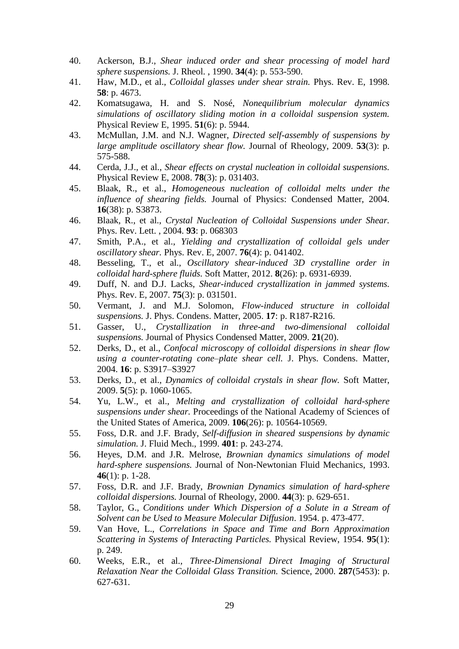- 40. Ackerson, B.J., *Shear induced order and shear processing of model hard sphere suspensions.* J. Rheol. , 1990. **34**(4): p. 553-590.
- 41. Haw, M.D., et al., *Colloidal glasses under shear strain.* Phys. Rev. E, 1998. **58**: p. 4673.
- 42. Komatsugawa, H. and S. Nosé, *Nonequilibrium molecular dynamics simulations of oscillatory sliding motion in a colloidal suspension system.* Physical Review E, 1995. **51**(6): p. 5944.
- 43. McMullan, J.M. and N.J. Wagner, *Directed self-assembly of suspensions by large amplitude oscillatory shear flow.* Journal of Rheology, 2009. **53**(3): p. 575-588.
- 44. Cerda, J.J., et al., *Shear effects on crystal nucleation in colloidal suspensions.* Physical Review E, 2008. **78**(3): p. 031403.
- 45. Blaak, R., et al., *Homogeneous nucleation of colloidal melts under the influence of shearing fields.* Journal of Physics: Condensed Matter, 2004. **16**(38): p. S3873.
- 46. Blaak, R., et al., *Crystal Nucleation of Colloidal Suspensions under Shear.* Phys. Rev. Lett. , 2004. **93**: p. 068303
- 47. Smith, P.A., et al., *Yielding and crystallization of colloidal gels under oscillatory shear.* Phys. Rev. E, 2007. **76**(4): p. 041402.
- 48. Besseling, T., et al., *Oscillatory shear-induced 3D crystalline order in colloidal hard-sphere fluids.* Soft Matter, 2012. **8**(26): p. 6931-6939.
- 49. Duff, N. and D.J. Lacks, *Shear-induced crystallization in jammed systems.* Phys. Rev. E, 2007. **75**(3): p. 031501.
- 50. Vermant, J. and M.J. Solomon, *Flow-induced structure in colloidal suspensions.* J. Phys. Condens. Matter, 2005. **17**: p. R187-R216.
- 51. Gasser, U., *Crystallization in three-and two-dimensional colloidal suspensions.* Journal of Physics Condensed Matter, 2009. **21**(20).
- 52. Derks, D., et al., *Confocal microscopy of colloidal dispersions in shear flow using a counter-rotating cone–plate shear cell.* J. Phys. Condens. Matter, 2004. **16**: p. S3917–S3927
- 53. Derks, D., et al., *Dynamics of colloidal crystals in shear flow.* Soft Matter, 2009. **5**(5): p. 1060-1065.
- 54. Yu, L.W., et al., *Melting and crystallization of colloidal hard-sphere suspensions under shear.* Proceedings of the National Academy of Sciences of the United States of America, 2009. **106**(26): p. 10564-10569.
- 55. Foss, D.R. and J.F. Brady, *Self-diffusion in sheared suspensions by dynamic simulation.* J. Fluid Mech., 1999. **401**: p. 243-274.
- 56. Heyes, D.M. and J.R. Melrose, *Brownian dynamics simulations of model hard-sphere suspensions.* Journal of Non-Newtonian Fluid Mechanics, 1993. **46**(1): p. 1-28.
- 57. Foss, D.R. and J.F. Brady, *Brownian Dynamics simulation of hard-sphere colloidal dispersions.* Journal of Rheology, 2000. **44**(3): p. 629-651.
- 58. Taylor, G., *Conditions under Which Dispersion of a Solute in a Stream of Solvent can be Used to Measure Molecular Diffusion*. 1954. p. 473-477.
- 59. Van Hove, L., *Correlations in Space and Time and Born Approximation Scattering in Systems of Interacting Particles.* Physical Review, 1954. **95**(1): p. 249.
- 60. Weeks, E.R., et al., *Three-Dimensional Direct Imaging of Structural Relaxation Near the Colloidal Glass Transition.* Science, 2000. **287**(5453): p. 627-631.